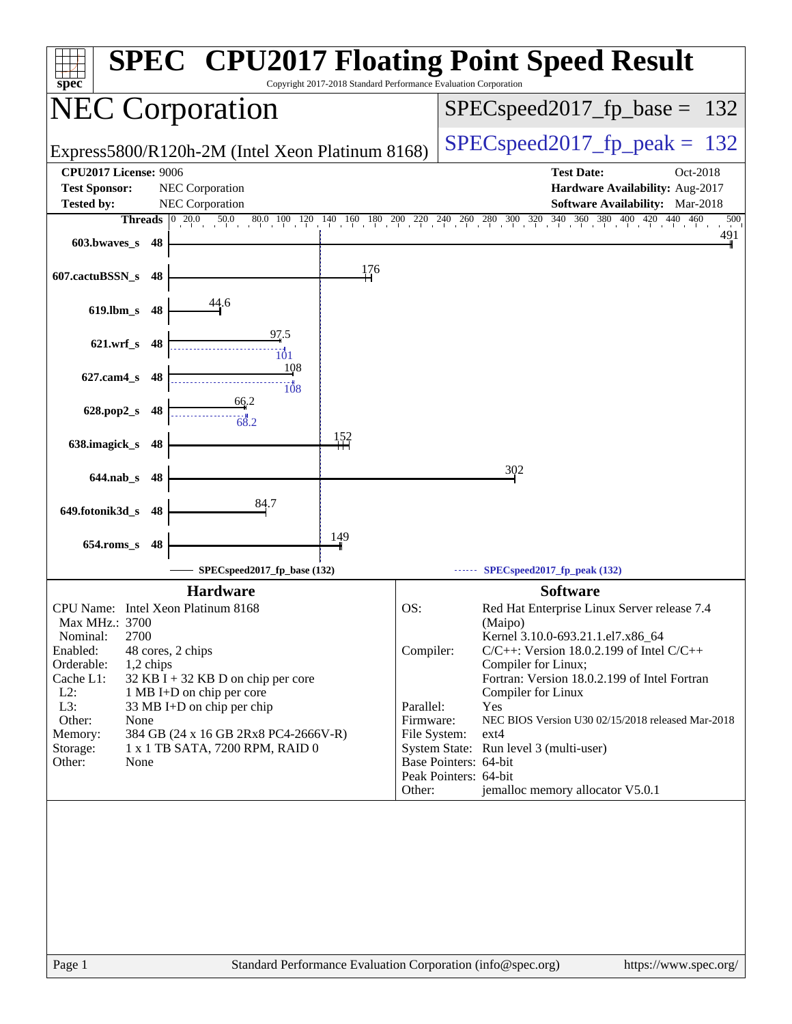| spec                               |                                                 | Copyright 2017-2018 Standard Performance Evaluation Corporation |                                                | <b>SPEC<sup>®</sup></b> CPU2017 Floating Point Speed Result                                                                                                                                     |     |
|------------------------------------|-------------------------------------------------|-----------------------------------------------------------------|------------------------------------------------|-------------------------------------------------------------------------------------------------------------------------------------------------------------------------------------------------|-----|
| <b>NEC Corporation</b>             |                                                 |                                                                 | $SPEC speed2017_fp\_base = 132$                |                                                                                                                                                                                                 |     |
|                                    | Express5800/R120h-2M (Intel Xeon Platinum 8168) |                                                                 | $SPEC speed2017_fp\_peak = 132$                |                                                                                                                                                                                                 |     |
| <b>CPU2017 License: 9006</b>       |                                                 |                                                                 |                                                | <b>Test Date:</b><br>Oct-2018                                                                                                                                                                   |     |
| <b>Test Sponsor:</b>               | NEC Corporation                                 |                                                                 |                                                | Hardware Availability: Aug-2017                                                                                                                                                                 |     |
| <b>Tested by:</b>                  | NEC Corporation                                 |                                                                 |                                                | Software Availability: Mar-2018                                                                                                                                                                 |     |
| Threads $\boxed{0, 20.0}$          | 50.0                                            |                                                                 |                                                | $80.0 \quad 100 \quad 120 \quad 140 \quad 160 \quad 180 \quad 200 \quad 220 \quad 240 \quad 260 \quad 280 \quad 300 \quad 320 \quad 340 \quad 360 \quad 380 \quad 400 \quad 420$<br>$440$ $460$ | 500 |
| 603.bwaves_s<br>48                 |                                                 |                                                                 |                                                |                                                                                                                                                                                                 | 491 |
| 607.cactuBSSN_s<br>48              |                                                 | 176                                                             |                                                |                                                                                                                                                                                                 |     |
| $619$ .lbm_s<br>48                 | 44.6                                            |                                                                 |                                                |                                                                                                                                                                                                 |     |
| $621.wrf$ <sub>S</sub><br>48       | 97.5<br>$\frac{1}{101}$                         |                                                                 |                                                |                                                                                                                                                                                                 |     |
| $627$ .cam $4_s$<br>48             | 108<br>$\overline{108}$                         |                                                                 |                                                |                                                                                                                                                                                                 |     |
| 628.pop2_s<br>48                   | 66.2<br>68.2                                    |                                                                 |                                                |                                                                                                                                                                                                 |     |
| 638.imagick_s<br>48                |                                                 | 152                                                             |                                                |                                                                                                                                                                                                 |     |
| $644$ .nab $\sf s$<br>48           |                                                 |                                                                 |                                                | 302                                                                                                                                                                                             |     |
| 649.fotonik3d_s<br>48              | 84.7                                            |                                                                 |                                                |                                                                                                                                                                                                 |     |
| $654$ .roms_s<br>48                |                                                 | 149                                                             |                                                |                                                                                                                                                                                                 |     |
|                                    | SPECspeed2017_fp_base (132)                     |                                                                 |                                                | SPECspeed2017_fp_peak (132)                                                                                                                                                                     |     |
|                                    | <b>Hardware</b>                                 |                                                                 |                                                | <b>Software</b>                                                                                                                                                                                 |     |
| CPU Name: Intel Xeon Platinum 8168 |                                                 |                                                                 | OS:                                            | Red Hat Enterprise Linux Server release 7.4                                                                                                                                                     |     |
| Max MHz.: 3700                     |                                                 |                                                                 |                                                | (Maipo)                                                                                                                                                                                         |     |
| 2700<br>Nominal:<br>Enabled:       | 48 cores, 2 chips                               |                                                                 | Compiler:                                      | Kernel 3.10.0-693.21.1.el7.x86_64<br>$C/C++$ : Version 18.0.2.199 of Intel $C/C++$                                                                                                              |     |
| Orderable:<br>1,2 chips            |                                                 |                                                                 |                                                | Compiler for Linux;                                                                                                                                                                             |     |
| Cache L1:                          | $32$ KB I + 32 KB D on chip per core            |                                                                 |                                                | Fortran: Version 18.0.2.199 of Intel Fortran                                                                                                                                                    |     |
| $L2$ :                             | 1 MB I+D on chip per core                       |                                                                 |                                                | Compiler for Linux                                                                                                                                                                              |     |
| L3:<br>Other:<br>None              | 33 MB I+D on chip per chip                      |                                                                 | Parallel:<br>Firmware:                         | Yes<br>NEC BIOS Version U30 02/15/2018 released Mar-2018                                                                                                                                        |     |
| Memory:                            | 384 GB (24 x 16 GB 2Rx8 PC4-2666V-R)            |                                                                 | File System:                                   | $ext{4}$                                                                                                                                                                                        |     |
| Storage:                           | 1 x 1 TB SATA, 7200 RPM, RAID 0                 |                                                                 |                                                | System State: Run level 3 (multi-user)                                                                                                                                                          |     |
| Other:<br>None                     |                                                 |                                                                 | Base Pointers: 64-bit<br>Peak Pointers: 64-bit |                                                                                                                                                                                                 |     |
|                                    |                                                 |                                                                 | Other:                                         | jemalloc memory allocator V5.0.1                                                                                                                                                                |     |
|                                    |                                                 |                                                                 |                                                |                                                                                                                                                                                                 |     |
|                                    |                                                 |                                                                 |                                                |                                                                                                                                                                                                 |     |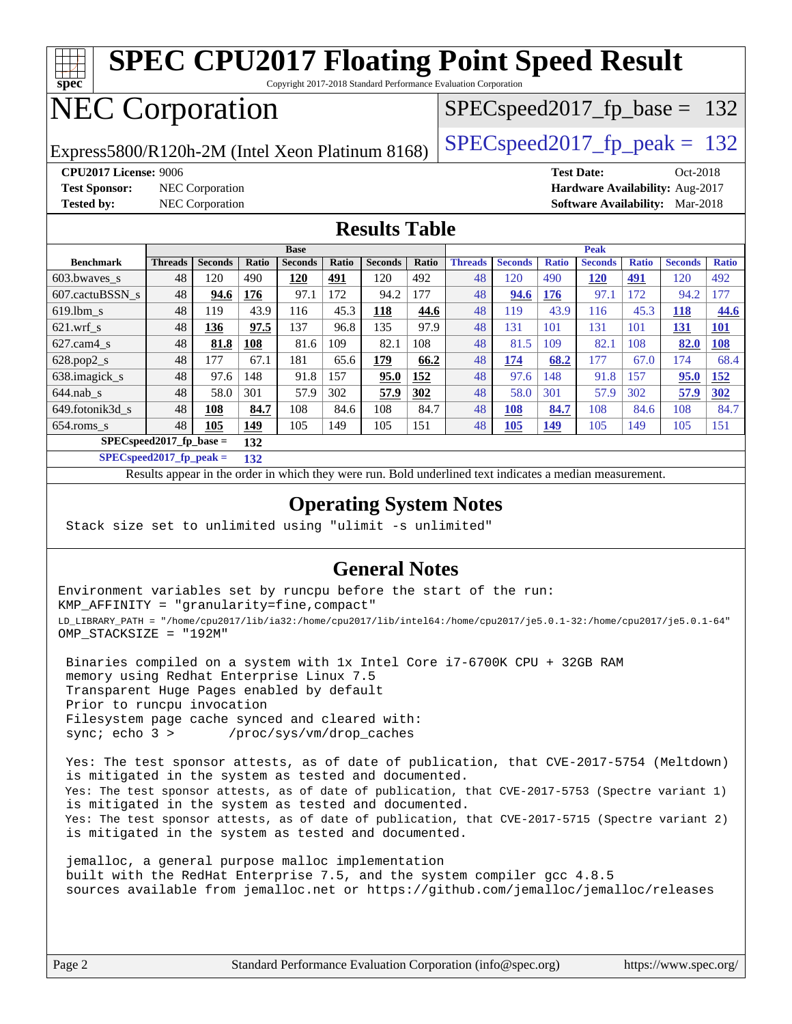

Copyright 2017-2018 Standard Performance Evaluation Corporation

## NEC Corporation

SPECspeed2017 fp base =  $132$ 

Express5800/R120h-2M (Intel Xeon Platinum 8168) [SPECspeed2017\\_fp\\_peak =](http://www.spec.org/auto/cpu2017/Docs/result-fields.html#SPECspeed2017fppeak)  $132$ 

**[Test Sponsor:](http://www.spec.org/auto/cpu2017/Docs/result-fields.html#TestSponsor)** NEC Corporation **[Hardware Availability:](http://www.spec.org/auto/cpu2017/Docs/result-fields.html#HardwareAvailability)** Aug-2017

**[CPU2017 License:](http://www.spec.org/auto/cpu2017/Docs/result-fields.html#CPU2017License)** 9006 **[Test Date:](http://www.spec.org/auto/cpu2017/Docs/result-fields.html#TestDate)** Oct-2018 **[Tested by:](http://www.spec.org/auto/cpu2017/Docs/result-fields.html#Testedby)** NEC Corporation **[Software Availability:](http://www.spec.org/auto/cpu2017/Docs/result-fields.html#SoftwareAvailability)** Mar-2018

### **[Results Table](http://www.spec.org/auto/cpu2017/Docs/result-fields.html#ResultsTable)**

|                           | <b>Base</b>    |                |            |                |       |                | <b>Peak</b> |                |                |              |                |              |                |              |
|---------------------------|----------------|----------------|------------|----------------|-------|----------------|-------------|----------------|----------------|--------------|----------------|--------------|----------------|--------------|
| <b>Benchmark</b>          | <b>Threads</b> | <b>Seconds</b> | Ratio      | <b>Seconds</b> | Ratio | <b>Seconds</b> | Ratio       | <b>Threads</b> | <b>Seconds</b> | <b>Ratio</b> | <b>Seconds</b> | <b>Ratio</b> | <b>Seconds</b> | <b>Ratio</b> |
| 603.bwayes_s              | 48             | 120            | 490        | 120            | 491   | 120            | 492         | 48             | 120            | 490          | 120            | 491          | 120            | 492          |
| 607.cactuBSSN s           | 48             | 94.6           | <u>176</u> | 97.1           | 172   | 94.2           | 177         | 48             | 94.6           | <b>176</b>   | 97.1           | 172          | 94.2           | 177          |
| $619.1$ bm s              | 48             | 119            | 43.9       | 116            | 45.3  | 118            | 44.6        | 48             | 119            | 43.9         | 116            | 45.3         | <b>118</b>     | 44.6         |
| $621$ .wrf s              | 48             | 136            | 97.5       | 137            | 96.8  | 135            | 97.9        | 48             | 131            | 101          | 131            | 101          | <u>131</u>     | <b>101</b>   |
| $627.cam4_s$              | 48             | 81.8           | 108        | 81.6           | 109   | 82.1           | 108         | 48             | 81.5           | 109          | 82.1           | 108          | 82.0           | <b>108</b>   |
| $628.pop2_s$              | 48             | 177            | 67.1       | 181            | 65.6  | 179            | 66.2        | 48             | 174            | 68.2         | 177            | 67.0         | 174            | 68.4         |
| 638.imagick_s             | 48             | 97.6           | 148        | 91.8           | 157   | 95.0           | 152         | 48             | 97.6           | 148          | 91.8           | 157          | 95.0           | 152          |
| $644$ .nab s              | 48             | 58.0           | 301        | 57.9           | 302   | 57.9           | 302         | 48             | 58.0           | 301          | 57.9           | 302          | 57.9           | 302          |
| 649.fotonik3d s           | 48             | 108            | 84.7       | 108            | 84.6  | 108            | 84.7        | 48             | <b>108</b>     | 84.7         | 108            | 84.6         | 108            | 84.7         |
| $654$ .roms s             | 48             | 105            | 149        | 105            | 149   | 105            | 151         | 48             | <u>105</u>     | <u>149</u>   | 105            | 149          | 105            | 151          |
| $SPECspeed2017$ fp base = |                |                | 132        |                |       |                |             |                |                |              |                |              |                |              |

**[SPECspeed2017\\_fp\\_peak =](http://www.spec.org/auto/cpu2017/Docs/result-fields.html#SPECspeed2017fppeak) 132**

Results appear in the [order in which they were run.](http://www.spec.org/auto/cpu2017/Docs/result-fields.html#RunOrder) Bold underlined text [indicates a median measurement](http://www.spec.org/auto/cpu2017/Docs/result-fields.html#Median).

### **[Operating System Notes](http://www.spec.org/auto/cpu2017/Docs/result-fields.html#OperatingSystemNotes)**

Stack size set to unlimited using "ulimit -s unlimited"

### **[General Notes](http://www.spec.org/auto/cpu2017/Docs/result-fields.html#GeneralNotes)**

Environment variables set by runcpu before the start of the run: KMP\_AFFINITY = "granularity=fine,compact" LD\_LIBRARY\_PATH = "/home/cpu2017/lib/ia32:/home/cpu2017/lib/intel64:/home/cpu2017/je5.0.1-32:/home/cpu2017/je5.0.1-64" OMP\_STACKSIZE = "192M"

 Binaries compiled on a system with 1x Intel Core i7-6700K CPU + 32GB RAM memory using Redhat Enterprise Linux 7.5 Transparent Huge Pages enabled by default Prior to runcpu invocation Filesystem page cache synced and cleared with: sync; echo 3 > /proc/sys/vm/drop\_caches

 Yes: The test sponsor attests, as of date of publication, that CVE-2017-5754 (Meltdown) is mitigated in the system as tested and documented. Yes: The test sponsor attests, as of date of publication, that CVE-2017-5753 (Spectre variant 1) is mitigated in the system as tested and documented. Yes: The test sponsor attests, as of date of publication, that CVE-2017-5715 (Spectre variant 2) is mitigated in the system as tested and documented.

 jemalloc, a general purpose malloc implementation built with the RedHat Enterprise 7.5, and the system compiler gcc 4.8.5 sources available from jemalloc.net or <https://github.com/jemalloc/jemalloc/releases>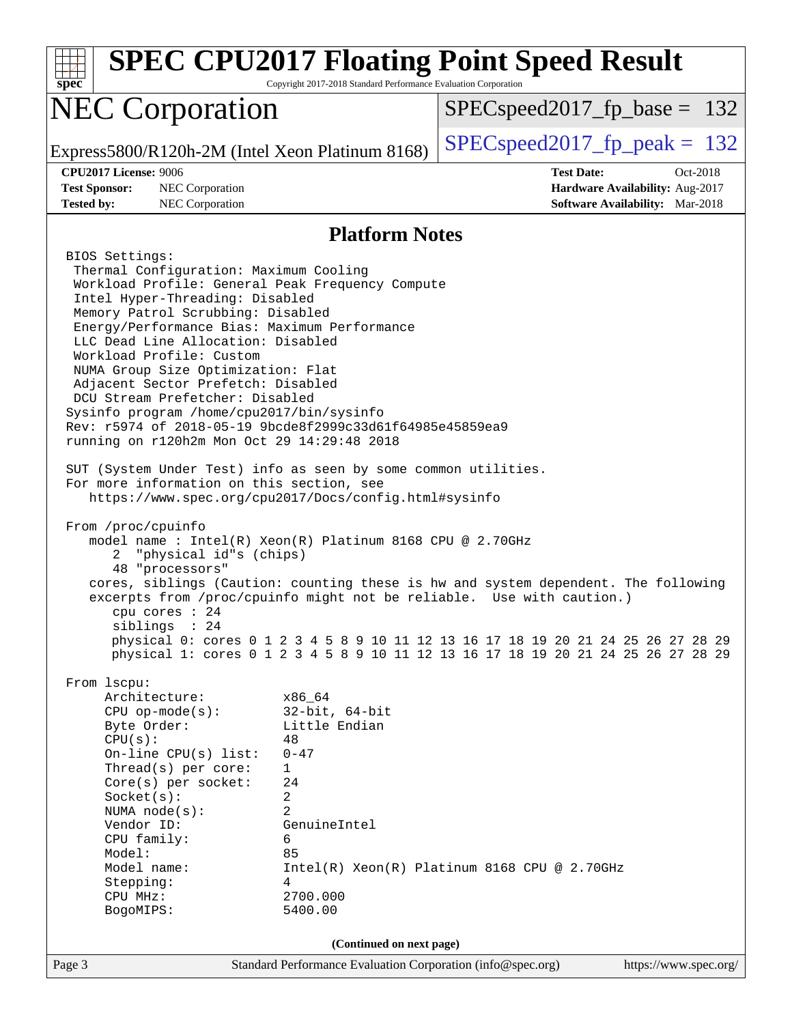| <b>SPEC CPU2017 Floating Point Speed Result</b><br>$spec*$                                                                                                                                                                                                                                                                                                                                                                                                                                                                                                                                                                                                                                                                                                                                                                                                                                                                                                                                                                                                                                                                          | Copyright 2017-2018 Standard Performance Evaluation Corporation |                                                                                                                                                                        |                                             |
|-------------------------------------------------------------------------------------------------------------------------------------------------------------------------------------------------------------------------------------------------------------------------------------------------------------------------------------------------------------------------------------------------------------------------------------------------------------------------------------------------------------------------------------------------------------------------------------------------------------------------------------------------------------------------------------------------------------------------------------------------------------------------------------------------------------------------------------------------------------------------------------------------------------------------------------------------------------------------------------------------------------------------------------------------------------------------------------------------------------------------------------|-----------------------------------------------------------------|------------------------------------------------------------------------------------------------------------------------------------------------------------------------|---------------------------------------------|
| <b>NEC Corporation</b>                                                                                                                                                                                                                                                                                                                                                                                                                                                                                                                                                                                                                                                                                                                                                                                                                                                                                                                                                                                                                                                                                                              |                                                                 | $SPEC speed2017_f p\_base = 132$                                                                                                                                       |                                             |
| Express5800/R120h-2M (Intel Xeon Platinum 8168)                                                                                                                                                                                                                                                                                                                                                                                                                                                                                                                                                                                                                                                                                                                                                                                                                                                                                                                                                                                                                                                                                     |                                                                 | $SPEC speed2017_fp\_peak = 132$                                                                                                                                        |                                             |
| <b>CPU2017 License: 9006</b><br><b>Test Sponsor:</b><br>NEC Corporation                                                                                                                                                                                                                                                                                                                                                                                                                                                                                                                                                                                                                                                                                                                                                                                                                                                                                                                                                                                                                                                             |                                                                 | <b>Test Date:</b>                                                                                                                                                      | Oct-2018<br>Hardware Availability: Aug-2017 |
| NEC Corporation<br><b>Tested by:</b>                                                                                                                                                                                                                                                                                                                                                                                                                                                                                                                                                                                                                                                                                                                                                                                                                                                                                                                                                                                                                                                                                                |                                                                 |                                                                                                                                                                        | <b>Software Availability:</b> Mar-2018      |
|                                                                                                                                                                                                                                                                                                                                                                                                                                                                                                                                                                                                                                                                                                                                                                                                                                                                                                                                                                                                                                                                                                                                     | <b>Platform Notes</b>                                           |                                                                                                                                                                        |                                             |
| BIOS Settings:<br>Thermal Configuration: Maximum Cooling<br>Workload Profile: General Peak Frequency Compute<br>Intel Hyper-Threading: Disabled<br>Memory Patrol Scrubbing: Disabled<br>Energy/Performance Bias: Maximum Performance<br>LLC Dead Line Allocation: Disabled<br>Workload Profile: Custom<br>NUMA Group Size Optimization: Flat<br>Adjacent Sector Prefetch: Disabled<br>DCU Stream Prefetcher: Disabled<br>Sysinfo program /home/cpu2017/bin/sysinfo<br>Rev: r5974 of 2018-05-19 9bcde8f2999c33d61f64985e45859ea9<br>running on r120h2m Mon Oct 29 14:29:48 2018<br>SUT (System Under Test) info as seen by some common utilities.<br>For more information on this section, see<br>https://www.spec.org/cpu2017/Docs/config.html#sysinfo<br>From /proc/cpuinfo<br>model name: $Intel(R)$ Xeon $(R)$ Platinum 8168 CPU @ 2.70GHz<br>"physical id"s (chips)<br>2<br>48 "processors"<br>cores, siblings (Caution: counting these is hw and system dependent. The following<br>excerpts from /proc/cpuinfo might not be reliable. Use with caution.)<br>cpu cores $: 24$<br>siblings : 24<br>From 1scpu:<br>Architecture: | x86_64                                                          | physical 0: cores 0 1 2 3 4 5 8 9 10 11 12 13 16 17 18 19 20 21 24 25 26 27 28 29<br>physical 1: cores 0 1 2 3 4 5 8 9 10 11 12 13 16 17 18 19 20 21 24 25 26 27 28 29 |                                             |
| $CPU$ op-mode(s):<br>Byte Order:<br>CPU(s):<br>On-line CPU(s) list:                                                                                                                                                                                                                                                                                                                                                                                                                                                                                                                                                                                                                                                                                                                                                                                                                                                                                                                                                                                                                                                                 | $32$ -bit, $64$ -bit<br>Little Endian<br>48<br>$0 - 47$         |                                                                                                                                                                        |                                             |
| Thread(s) per core:<br>Core(s) per socket:<br>Socket(s):<br>NUMA $node(s)$ :                                                                                                                                                                                                                                                                                                                                                                                                                                                                                                                                                                                                                                                                                                                                                                                                                                                                                                                                                                                                                                                        | 1<br>24<br>2<br>$\overline{2}$                                  |                                                                                                                                                                        |                                             |
| Vendor ID:<br>CPU family:                                                                                                                                                                                                                                                                                                                                                                                                                                                                                                                                                                                                                                                                                                                                                                                                                                                                                                                                                                                                                                                                                                           | GenuineIntel<br>6<br>85                                         |                                                                                                                                                                        |                                             |
| Model:<br>Model name:<br>Stepping:<br>CPU MHz:<br>BogoMIPS:                                                                                                                                                                                                                                                                                                                                                                                                                                                                                                                                                                                                                                                                                                                                                                                                                                                                                                                                                                                                                                                                         | 4<br>2700.000<br>5400.00                                        | Intel(R) Xeon(R) Platinum 8168 CPU @ 2.70GHz                                                                                                                           |                                             |
|                                                                                                                                                                                                                                                                                                                                                                                                                                                                                                                                                                                                                                                                                                                                                                                                                                                                                                                                                                                                                                                                                                                                     | (Continued on next page)                                        |                                                                                                                                                                        |                                             |
| Page 3                                                                                                                                                                                                                                                                                                                                                                                                                                                                                                                                                                                                                                                                                                                                                                                                                                                                                                                                                                                                                                                                                                                              | Standard Performance Evaluation Corporation (info@spec.org)     |                                                                                                                                                                        | https://www.spec.org/                       |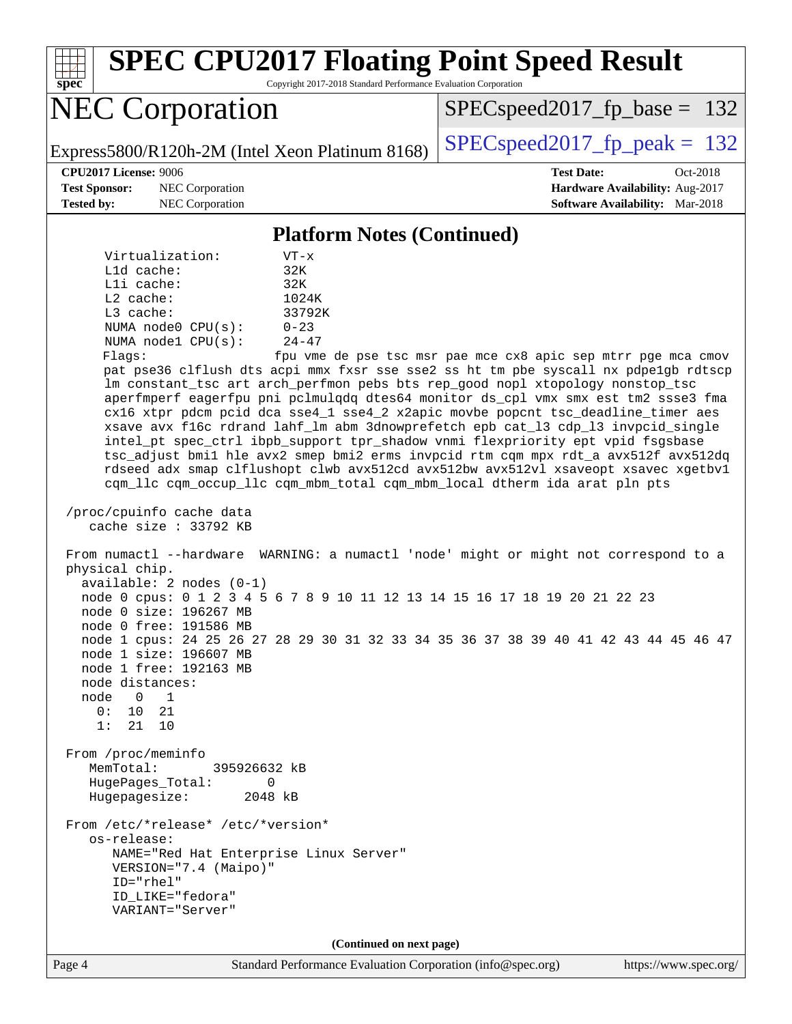Page 4 Standard Performance Evaluation Corporation [\(info@spec.org\)](mailto:info@spec.org) <https://www.spec.org/> **[spec](http://www.spec.org/) [SPEC CPU2017 Floating Point Speed Result](http://www.spec.org/auto/cpu2017/Docs/result-fields.html#SPECCPU2017FloatingPointSpeedResult)** Copyright 2017-2018 Standard Performance Evaluation Corporation NEC Corporation Express5800/R120h-2M (Intel Xeon Platinum 8168) [SPECspeed2017\\_fp\\_peak =](http://www.spec.org/auto/cpu2017/Docs/result-fields.html#SPECspeed2017fppeak)  $132$ SPECspeed2017 fp base =  $132$ **[CPU2017 License:](http://www.spec.org/auto/cpu2017/Docs/result-fields.html#CPU2017License)** 9006 **[Test Date:](http://www.spec.org/auto/cpu2017/Docs/result-fields.html#TestDate)** Oct-2018 **[Test Sponsor:](http://www.spec.org/auto/cpu2017/Docs/result-fields.html#TestSponsor)** NEC Corporation **[Hardware Availability:](http://www.spec.org/auto/cpu2017/Docs/result-fields.html#HardwareAvailability)** Aug-2017 **[Tested by:](http://www.spec.org/auto/cpu2017/Docs/result-fields.html#Testedby)** NEC Corporation **[Software Availability:](http://www.spec.org/auto/cpu2017/Docs/result-fields.html#SoftwareAvailability)** Mar-2018 **[Platform Notes \(Continued\)](http://www.spec.org/auto/cpu2017/Docs/result-fields.html#PlatformNotes)** Virtualization: VT-x L1d cache: 32K L1i cache: 32K L2 cache: 1024K L3 cache: 33792K NUMA node0 CPU(s): 0-23 NUMA node1 CPU(s): 24-47 Flags: fpu vme de pse tsc msr pae mce cx8 apic sep mtrr pge mca cmov pat pse36 clflush dts acpi mmx fxsr sse sse2 ss ht tm pbe syscall nx pdpe1gb rdtscp lm constant\_tsc art arch\_perfmon pebs bts rep\_good nopl xtopology nonstop\_tsc aperfmperf eagerfpu pni pclmulqdq dtes64 monitor ds\_cpl vmx smx est tm2 ssse3 fma cx16 xtpr pdcm pcid dca sse4\_1 sse4\_2 x2apic movbe popcnt tsc\_deadline\_timer aes xsave avx f16c rdrand lahf\_lm abm 3dnowprefetch epb cat\_l3 cdp\_l3 invpcid\_single intel\_pt spec\_ctrl ibpb\_support tpr\_shadow vnmi flexpriority ept vpid fsgsbase tsc\_adjust bmi1 hle avx2 smep bmi2 erms invpcid rtm cqm mpx rdt\_a avx512f avx512dq rdseed adx smap clflushopt clwb avx512cd avx512bw avx512vl xsaveopt xsavec xgetbv1 cqm\_llc cqm\_occup\_llc cqm\_mbm\_total cqm\_mbm\_local dtherm ida arat pln pts /proc/cpuinfo cache data cache size : 33792 KB From numactl --hardware WARNING: a numactl 'node' might or might not correspond to a physical chip. available: 2 nodes (0-1) node 0 cpus: 0 1 2 3 4 5 6 7 8 9 10 11 12 13 14 15 16 17 18 19 20 21 22 23 node 0 size: 196267 MB node 0 free: 191586 MB node 1 cpus: 24 25 26 27 28 29 30 31 32 33 34 35 36 37 38 39 40 41 42 43 44 45 46 47 node 1 size: 196607 MB node 1 free: 192163 MB node distances: node 0 1 0: 10 21 1: 21 10 From /proc/meminfo MemTotal: 395926632 kB HugePages\_Total: 0 Hugepagesize: 2048 kB From /etc/\*release\* /etc/\*version\* os-release: NAME="Red Hat Enterprise Linux Server" VERSION="7.4 (Maipo)" ID="rhel" ID\_LIKE="fedora" VARIANT="Server" **(Continued on next page)**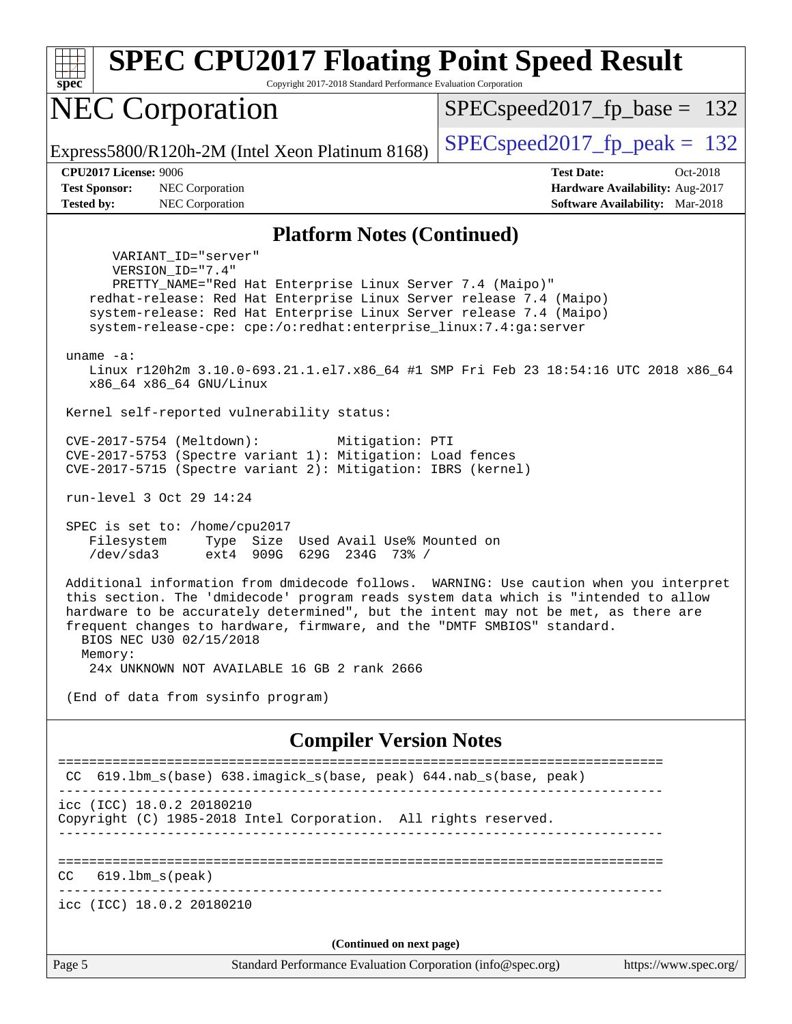Page 5 Standard Performance Evaluation Corporation [\(info@spec.org\)](mailto:info@spec.org) <https://www.spec.org/> **[spec](http://www.spec.org/) [SPEC CPU2017 Floating Point Speed Result](http://www.spec.org/auto/cpu2017/Docs/result-fields.html#SPECCPU2017FloatingPointSpeedResult)** Copyright 2017-2018 Standard Performance Evaluation Corporation NEC Corporation Express5800/R120h-2M (Intel Xeon Platinum 8168) [SPECspeed2017\\_fp\\_peak =](http://www.spec.org/auto/cpu2017/Docs/result-fields.html#SPECspeed2017fppeak)  $132$ SPECspeed2017 fp base =  $132$ **[CPU2017 License:](http://www.spec.org/auto/cpu2017/Docs/result-fields.html#CPU2017License)** 9006 **[Test Date:](http://www.spec.org/auto/cpu2017/Docs/result-fields.html#TestDate)** Oct-2018 **[Test Sponsor:](http://www.spec.org/auto/cpu2017/Docs/result-fields.html#TestSponsor)** NEC Corporation **[Hardware Availability:](http://www.spec.org/auto/cpu2017/Docs/result-fields.html#HardwareAvailability)** Aug-2017 **[Tested by:](http://www.spec.org/auto/cpu2017/Docs/result-fields.html#Testedby)** NEC Corporation **[Software Availability:](http://www.spec.org/auto/cpu2017/Docs/result-fields.html#SoftwareAvailability)** Mar-2018 **[Platform Notes \(Continued\)](http://www.spec.org/auto/cpu2017/Docs/result-fields.html#PlatformNotes)** VARIANT\_ID="server" VERSION\_ID="7.4" PRETTY\_NAME="Red Hat Enterprise Linux Server 7.4 (Maipo)" redhat-release: Red Hat Enterprise Linux Server release 7.4 (Maipo) system-release: Red Hat Enterprise Linux Server release 7.4 (Maipo) system-release-cpe: cpe:/o:redhat:enterprise\_linux:7.4:ga:server uname -a: Linux r120h2m 3.10.0-693.21.1.el7.x86\_64 #1 SMP Fri Feb 23 18:54:16 UTC 2018 x86\_64 x86\_64 x86\_64 GNU/Linux Kernel self-reported vulnerability status: CVE-2017-5754 (Meltdown): Mitigation: PTI CVE-2017-5753 (Spectre variant 1): Mitigation: Load fences CVE-2017-5715 (Spectre variant 2): Mitigation: IBRS (kernel) run-level 3 Oct 29 14:24 SPEC is set to: /home/cpu2017 Filesystem Type Size Used Avail Use% Mounted on /dev/sda3 ext4 909G 629G 234G 73% / Additional information from dmidecode follows. WARNING: Use caution when you interpret this section. The 'dmidecode' program reads system data which is "intended to allow hardware to be accurately determined", but the intent may not be met, as there are frequent changes to hardware, firmware, and the "DMTF SMBIOS" standard. BIOS NEC U30 02/15/2018 Memory: 24x UNKNOWN NOT AVAILABLE 16 GB 2 rank 2666 (End of data from sysinfo program) **[Compiler Version Notes](http://www.spec.org/auto/cpu2017/Docs/result-fields.html#CompilerVersionNotes)** ============================================================================== CC 619.1bm s(base) 638.imagick s(base, peak) 644.nab s(base, peak) ----------------------------------------------------------------------------- icc (ICC) 18.0.2 20180210 Copyright (C) 1985-2018 Intel Corporation. All rights reserved. ------------------------------------------------------------------------------ ============================================================================== CC 619.lbm\_s(peak) ----------------------------------------------------------------------------- icc (ICC) 18.0.2 20180210 **(Continued on next page)**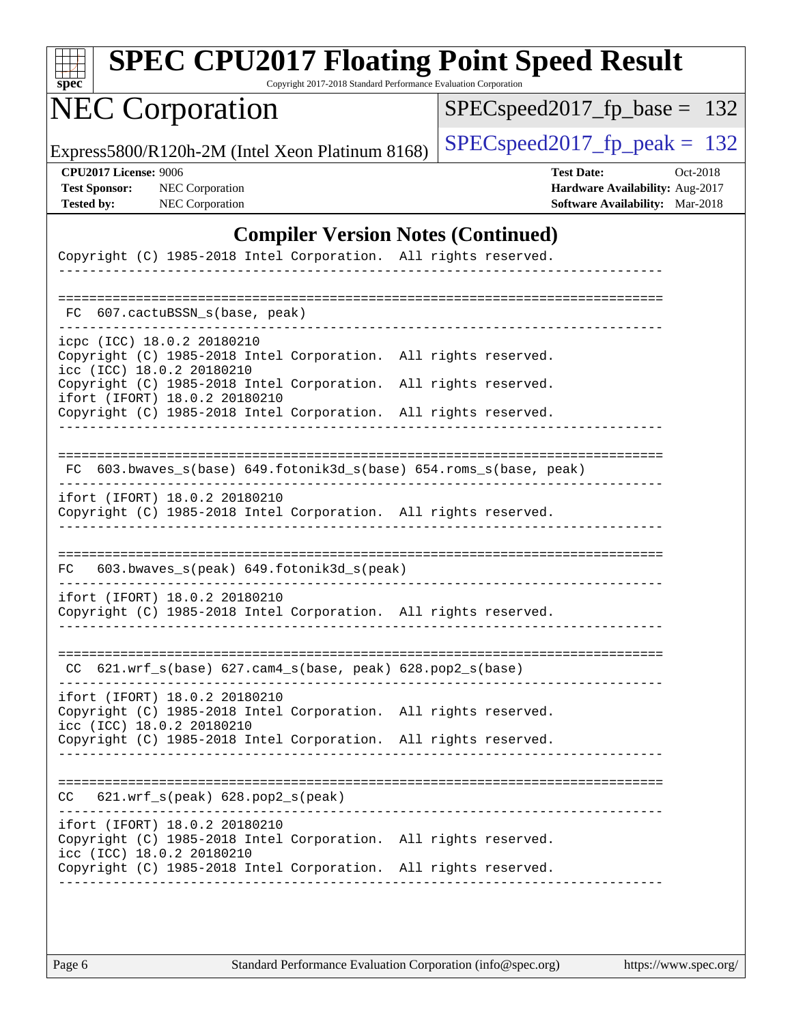| s<br>Dе<br>U |  |  |  |  |  |
|--------------|--|--|--|--|--|

Copyright 2017-2018 Standard Performance Evaluation Corporation

## NEC Corporation

[SPECspeed2017\\_fp\\_base =](http://www.spec.org/auto/cpu2017/Docs/result-fields.html#SPECspeed2017fpbase) 132

Express5800/R120h-2M (Intel Xeon Platinum 8168) [SPECspeed2017\\_fp\\_peak =](http://www.spec.org/auto/cpu2017/Docs/result-fields.html#SPECspeed2017fppeak)  $132$ 

**[CPU2017 License:](http://www.spec.org/auto/cpu2017/Docs/result-fields.html#CPU2017License)** 9006 **[Test Date:](http://www.spec.org/auto/cpu2017/Docs/result-fields.html#TestDate)** Oct-2018 **[Test Sponsor:](http://www.spec.org/auto/cpu2017/Docs/result-fields.html#TestSponsor)** NEC Corporation **[Hardware Availability:](http://www.spec.org/auto/cpu2017/Docs/result-fields.html#HardwareAvailability)** Aug-2017 **[Tested by:](http://www.spec.org/auto/cpu2017/Docs/result-fields.html#Testedby)** NEC Corporation **[Software Availability:](http://www.spec.org/auto/cpu2017/Docs/result-fields.html#SoftwareAvailability)** Mar-2018

### **[Compiler Version Notes \(Continued\)](http://www.spec.org/auto/cpu2017/Docs/result-fields.html#CompilerVersionNotes)**

| Copyright (C) 1985-2018 Intel Corporation. All rights reserved.                                                            |                      |
|----------------------------------------------------------------------------------------------------------------------------|----------------------|
| FC 607.cactuBSSN_s(base, peak)                                                                                             |                      |
|                                                                                                                            |                      |
| icpc (ICC) 18.0.2 20180210<br>Copyright (C) 1985-2018 Intel Corporation. All rights reserved.<br>icc (ICC) 18.0.2 20180210 |                      |
| Copyright (C) 1985-2018 Intel Corporation.<br>ifort (IFORT) 18.0.2 20180210                                                | All rights reserved. |
| Copyright (C) 1985-2018 Intel Corporation. All rights reserved.                                                            |                      |
|                                                                                                                            |                      |
| FC 603.bwaves_s(base) 649.fotonik3d_s(base) 654.roms_s(base, peak)                                                         |                      |
| ifort (IFORT) 18.0.2 20180210<br>Copyright (C) 1985-2018 Intel Corporation. All rights reserved.                           |                      |
|                                                                                                                            |                      |
| 603.bwaves_s(peak) 649.fotonik3d_s(peak)<br>FC                                                                             |                      |
| ifort (IFORT) 18.0.2 20180210<br>Copyright (C) 1985-2018 Intel Corporation. All rights reserved.                           |                      |
|                                                                                                                            |                      |
| CC 621.wrf_s(base) 627.cam4_s(base, peak) 628.pop2_s(base)                                                                 |                      |
| ifort (IFORT) 18.0.2 20180210<br>Copyright (C) 1985-2018 Intel Corporation.<br>icc (ICC) 18.0.2 20180210                   | All rights reserved. |
| Copyright (C) 1985-2018 Intel Corporation. All rights reserved.                                                            |                      |
| $621.wrf$ s(peak) $628.pop2$ s(peak)<br>CC                                                                                 |                      |
|                                                                                                                            |                      |
| ifort (IFORT) 18.0.2 20180210<br>Copyright (C) 1985-2018 Intel Corporation.<br>icc (ICC) 18.0.2 20180210                   | All rights reserved. |
| Copyright (C) 1985-2018 Intel Corporation. All rights reserved.                                                            |                      |
|                                                                                                                            |                      |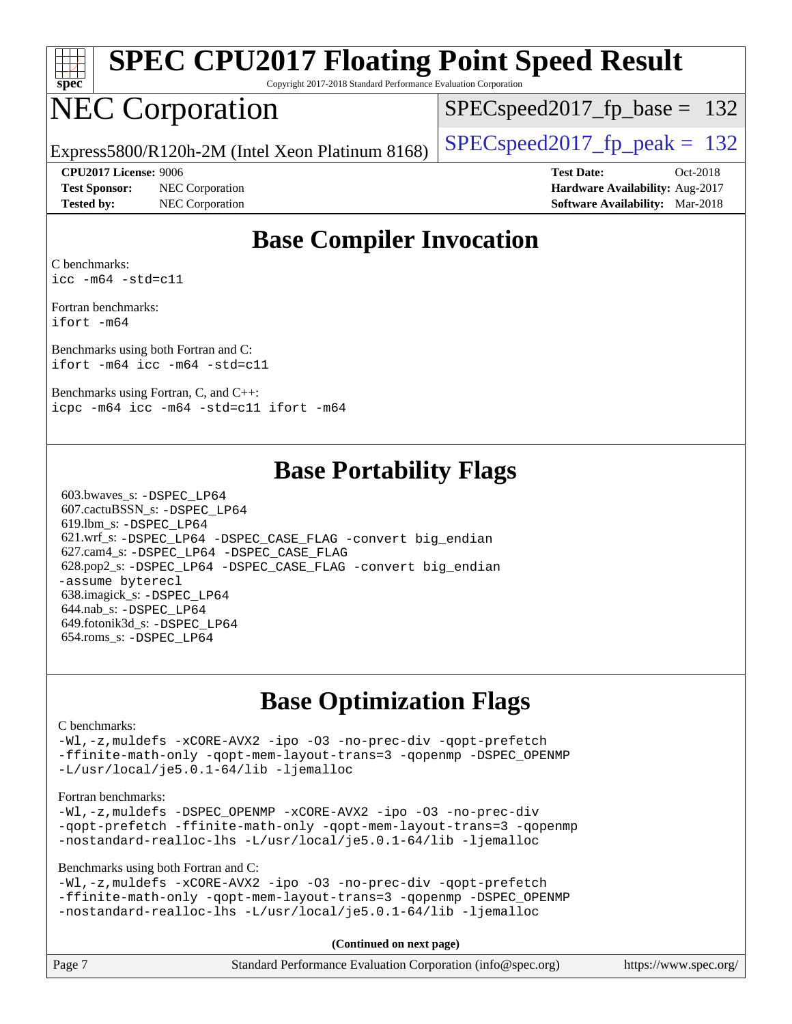

Copyright 2017-2018 Standard Performance Evaluation Corporation

### NEC Corporation

SPECspeed2017 fp base =  $132$ 

Express5800/R120h-2M (Intel Xeon Platinum 8168) [SPECspeed2017\\_fp\\_peak =](http://www.spec.org/auto/cpu2017/Docs/result-fields.html#SPECspeed2017fppeak)  $132$ 

**[Test Sponsor:](http://www.spec.org/auto/cpu2017/Docs/result-fields.html#TestSponsor)** NEC Corporation **[Hardware Availability:](http://www.spec.org/auto/cpu2017/Docs/result-fields.html#HardwareAvailability)** Aug-2017 **[Tested by:](http://www.spec.org/auto/cpu2017/Docs/result-fields.html#Testedby)** NEC Corporation **[Software Availability:](http://www.spec.org/auto/cpu2017/Docs/result-fields.html#SoftwareAvailability)** Mar-2018

**[CPU2017 License:](http://www.spec.org/auto/cpu2017/Docs/result-fields.html#CPU2017License)** 9006 **[Test Date:](http://www.spec.org/auto/cpu2017/Docs/result-fields.html#TestDate)** Oct-2018

### **[Base Compiler Invocation](http://www.spec.org/auto/cpu2017/Docs/result-fields.html#BaseCompilerInvocation)**

[C benchmarks](http://www.spec.org/auto/cpu2017/Docs/result-fields.html#Cbenchmarks): [icc -m64 -std=c11](http://www.spec.org/cpu2017/results/res2018q4/cpu2017-20181029-09349.flags.html#user_CCbase_intel_icc_64bit_c11_33ee0cdaae7deeeab2a9725423ba97205ce30f63b9926c2519791662299b76a0318f32ddfffdc46587804de3178b4f9328c46fa7c2b0cd779d7a61945c91cd35)

[Fortran benchmarks](http://www.spec.org/auto/cpu2017/Docs/result-fields.html#Fortranbenchmarks): [ifort -m64](http://www.spec.org/cpu2017/results/res2018q4/cpu2017-20181029-09349.flags.html#user_FCbase_intel_ifort_64bit_24f2bb282fbaeffd6157abe4f878425411749daecae9a33200eee2bee2fe76f3b89351d69a8130dd5949958ce389cf37ff59a95e7a40d588e8d3a57e0c3fd751)

[Benchmarks using both Fortran and C](http://www.spec.org/auto/cpu2017/Docs/result-fields.html#BenchmarksusingbothFortranandC): [ifort -m64](http://www.spec.org/cpu2017/results/res2018q4/cpu2017-20181029-09349.flags.html#user_CC_FCbase_intel_ifort_64bit_24f2bb282fbaeffd6157abe4f878425411749daecae9a33200eee2bee2fe76f3b89351d69a8130dd5949958ce389cf37ff59a95e7a40d588e8d3a57e0c3fd751) [icc -m64 -std=c11](http://www.spec.org/cpu2017/results/res2018q4/cpu2017-20181029-09349.flags.html#user_CC_FCbase_intel_icc_64bit_c11_33ee0cdaae7deeeab2a9725423ba97205ce30f63b9926c2519791662299b76a0318f32ddfffdc46587804de3178b4f9328c46fa7c2b0cd779d7a61945c91cd35)

[Benchmarks using Fortran, C, and C++](http://www.spec.org/auto/cpu2017/Docs/result-fields.html#BenchmarksusingFortranCandCXX): [icpc -m64](http://www.spec.org/cpu2017/results/res2018q4/cpu2017-20181029-09349.flags.html#user_CC_CXX_FCbase_intel_icpc_64bit_4ecb2543ae3f1412ef961e0650ca070fec7b7afdcd6ed48761b84423119d1bf6bdf5cad15b44d48e7256388bc77273b966e5eb805aefd121eb22e9299b2ec9d9) [icc -m64 -std=c11](http://www.spec.org/cpu2017/results/res2018q4/cpu2017-20181029-09349.flags.html#user_CC_CXX_FCbase_intel_icc_64bit_c11_33ee0cdaae7deeeab2a9725423ba97205ce30f63b9926c2519791662299b76a0318f32ddfffdc46587804de3178b4f9328c46fa7c2b0cd779d7a61945c91cd35) [ifort -m64](http://www.spec.org/cpu2017/results/res2018q4/cpu2017-20181029-09349.flags.html#user_CC_CXX_FCbase_intel_ifort_64bit_24f2bb282fbaeffd6157abe4f878425411749daecae9a33200eee2bee2fe76f3b89351d69a8130dd5949958ce389cf37ff59a95e7a40d588e8d3a57e0c3fd751)

### **[Base Portability Flags](http://www.spec.org/auto/cpu2017/Docs/result-fields.html#BasePortabilityFlags)**

 603.bwaves\_s: [-DSPEC\\_LP64](http://www.spec.org/cpu2017/results/res2018q4/cpu2017-20181029-09349.flags.html#suite_basePORTABILITY603_bwaves_s_DSPEC_LP64) 607.cactuBSSN\_s: [-DSPEC\\_LP64](http://www.spec.org/cpu2017/results/res2018q4/cpu2017-20181029-09349.flags.html#suite_basePORTABILITY607_cactuBSSN_s_DSPEC_LP64) 619.lbm\_s: [-DSPEC\\_LP64](http://www.spec.org/cpu2017/results/res2018q4/cpu2017-20181029-09349.flags.html#suite_basePORTABILITY619_lbm_s_DSPEC_LP64) 621.wrf\_s: [-DSPEC\\_LP64](http://www.spec.org/cpu2017/results/res2018q4/cpu2017-20181029-09349.flags.html#suite_basePORTABILITY621_wrf_s_DSPEC_LP64) [-DSPEC\\_CASE\\_FLAG](http://www.spec.org/cpu2017/results/res2018q4/cpu2017-20181029-09349.flags.html#b621.wrf_s_baseCPORTABILITY_DSPEC_CASE_FLAG) [-convert big\\_endian](http://www.spec.org/cpu2017/results/res2018q4/cpu2017-20181029-09349.flags.html#user_baseFPORTABILITY621_wrf_s_convert_big_endian_c3194028bc08c63ac5d04de18c48ce6d347e4e562e8892b8bdbdc0214820426deb8554edfa529a3fb25a586e65a3d812c835984020483e7e73212c4d31a38223) 627.cam4\_s: [-DSPEC\\_LP64](http://www.spec.org/cpu2017/results/res2018q4/cpu2017-20181029-09349.flags.html#suite_basePORTABILITY627_cam4_s_DSPEC_LP64) [-DSPEC\\_CASE\\_FLAG](http://www.spec.org/cpu2017/results/res2018q4/cpu2017-20181029-09349.flags.html#b627.cam4_s_baseCPORTABILITY_DSPEC_CASE_FLAG) 628.pop2\_s: [-DSPEC\\_LP64](http://www.spec.org/cpu2017/results/res2018q4/cpu2017-20181029-09349.flags.html#suite_basePORTABILITY628_pop2_s_DSPEC_LP64) [-DSPEC\\_CASE\\_FLAG](http://www.spec.org/cpu2017/results/res2018q4/cpu2017-20181029-09349.flags.html#b628.pop2_s_baseCPORTABILITY_DSPEC_CASE_FLAG) [-convert big\\_endian](http://www.spec.org/cpu2017/results/res2018q4/cpu2017-20181029-09349.flags.html#user_baseFPORTABILITY628_pop2_s_convert_big_endian_c3194028bc08c63ac5d04de18c48ce6d347e4e562e8892b8bdbdc0214820426deb8554edfa529a3fb25a586e65a3d812c835984020483e7e73212c4d31a38223) [-assume byterecl](http://www.spec.org/cpu2017/results/res2018q4/cpu2017-20181029-09349.flags.html#user_baseFPORTABILITY628_pop2_s_assume_byterecl_7e47d18b9513cf18525430bbf0f2177aa9bf368bc7a059c09b2c06a34b53bd3447c950d3f8d6c70e3faf3a05c8557d66a5798b567902e8849adc142926523472) 638.imagick\_s: [-DSPEC\\_LP64](http://www.spec.org/cpu2017/results/res2018q4/cpu2017-20181029-09349.flags.html#suite_basePORTABILITY638_imagick_s_DSPEC_LP64) 644.nab\_s: [-DSPEC\\_LP64](http://www.spec.org/cpu2017/results/res2018q4/cpu2017-20181029-09349.flags.html#suite_basePORTABILITY644_nab_s_DSPEC_LP64) 649.fotonik3d\_s: [-DSPEC\\_LP64](http://www.spec.org/cpu2017/results/res2018q4/cpu2017-20181029-09349.flags.html#suite_basePORTABILITY649_fotonik3d_s_DSPEC_LP64) 654.roms\_s: [-DSPEC\\_LP64](http://www.spec.org/cpu2017/results/res2018q4/cpu2017-20181029-09349.flags.html#suite_basePORTABILITY654_roms_s_DSPEC_LP64)

### **[Base Optimization Flags](http://www.spec.org/auto/cpu2017/Docs/result-fields.html#BaseOptimizationFlags)**

#### [C benchmarks](http://www.spec.org/auto/cpu2017/Docs/result-fields.html#Cbenchmarks):

[-Wl,-z,muldefs](http://www.spec.org/cpu2017/results/res2018q4/cpu2017-20181029-09349.flags.html#user_CCbase_link_force_multiple1_b4cbdb97b34bdee9ceefcfe54f4c8ea74255f0b02a4b23e853cdb0e18eb4525ac79b5a88067c842dd0ee6996c24547a27a4b99331201badda8798ef8a743f577) [-xCORE-AVX2](http://www.spec.org/cpu2017/results/res2018q4/cpu2017-20181029-09349.flags.html#user_CCbase_f-xCORE-AVX2) [-ipo](http://www.spec.org/cpu2017/results/res2018q4/cpu2017-20181029-09349.flags.html#user_CCbase_f-ipo) [-O3](http://www.spec.org/cpu2017/results/res2018q4/cpu2017-20181029-09349.flags.html#user_CCbase_f-O3) [-no-prec-div](http://www.spec.org/cpu2017/results/res2018q4/cpu2017-20181029-09349.flags.html#user_CCbase_f-no-prec-div) [-qopt-prefetch](http://www.spec.org/cpu2017/results/res2018q4/cpu2017-20181029-09349.flags.html#user_CCbase_f-qopt-prefetch) [-ffinite-math-only](http://www.spec.org/cpu2017/results/res2018q4/cpu2017-20181029-09349.flags.html#user_CCbase_f_finite_math_only_cb91587bd2077682c4b38af759c288ed7c732db004271a9512da14a4f8007909a5f1427ecbf1a0fb78ff2a814402c6114ac565ca162485bbcae155b5e4258871) [-qopt-mem-layout-trans=3](http://www.spec.org/cpu2017/results/res2018q4/cpu2017-20181029-09349.flags.html#user_CCbase_f-qopt-mem-layout-trans_de80db37974c74b1f0e20d883f0b675c88c3b01e9d123adea9b28688d64333345fb62bc4a798493513fdb68f60282f9a726aa07f478b2f7113531aecce732043) [-qopenmp](http://www.spec.org/cpu2017/results/res2018q4/cpu2017-20181029-09349.flags.html#user_CCbase_qopenmp_16be0c44f24f464004c6784a7acb94aca937f053568ce72f94b139a11c7c168634a55f6653758ddd83bcf7b8463e8028bb0b48b77bcddc6b78d5d95bb1df2967) [-DSPEC\\_OPENMP](http://www.spec.org/cpu2017/results/res2018q4/cpu2017-20181029-09349.flags.html#suite_CCbase_DSPEC_OPENMP) [-L/usr/local/je5.0.1-64/lib](http://www.spec.org/cpu2017/results/res2018q4/cpu2017-20181029-09349.flags.html#user_CCbase_jemalloc_link_path64_4b10a636b7bce113509b17f3bd0d6226c5fb2346b9178c2d0232c14f04ab830f976640479e5c33dc2bcbbdad86ecfb6634cbbd4418746f06f368b512fced5394) [-ljemalloc](http://www.spec.org/cpu2017/results/res2018q4/cpu2017-20181029-09349.flags.html#user_CCbase_jemalloc_link_lib_d1249b907c500fa1c0672f44f562e3d0f79738ae9e3c4a9c376d49f265a04b9c99b167ecedbf6711b3085be911c67ff61f150a17b3472be731631ba4d0471706)

#### [Fortran benchmarks](http://www.spec.org/auto/cpu2017/Docs/result-fields.html#Fortranbenchmarks):

[-Wl,-z,muldefs](http://www.spec.org/cpu2017/results/res2018q4/cpu2017-20181029-09349.flags.html#user_FCbase_link_force_multiple1_b4cbdb97b34bdee9ceefcfe54f4c8ea74255f0b02a4b23e853cdb0e18eb4525ac79b5a88067c842dd0ee6996c24547a27a4b99331201badda8798ef8a743f577) [-DSPEC\\_OPENMP](http://www.spec.org/cpu2017/results/res2018q4/cpu2017-20181029-09349.flags.html#suite_FCbase_DSPEC_OPENMP) [-xCORE-AVX2](http://www.spec.org/cpu2017/results/res2018q4/cpu2017-20181029-09349.flags.html#user_FCbase_f-xCORE-AVX2) [-ipo](http://www.spec.org/cpu2017/results/res2018q4/cpu2017-20181029-09349.flags.html#user_FCbase_f-ipo) [-O3](http://www.spec.org/cpu2017/results/res2018q4/cpu2017-20181029-09349.flags.html#user_FCbase_f-O3) [-no-prec-div](http://www.spec.org/cpu2017/results/res2018q4/cpu2017-20181029-09349.flags.html#user_FCbase_f-no-prec-div) [-qopt-prefetch](http://www.spec.org/cpu2017/results/res2018q4/cpu2017-20181029-09349.flags.html#user_FCbase_f-qopt-prefetch) [-ffinite-math-only](http://www.spec.org/cpu2017/results/res2018q4/cpu2017-20181029-09349.flags.html#user_FCbase_f_finite_math_only_cb91587bd2077682c4b38af759c288ed7c732db004271a9512da14a4f8007909a5f1427ecbf1a0fb78ff2a814402c6114ac565ca162485bbcae155b5e4258871) [-qopt-mem-layout-trans=3](http://www.spec.org/cpu2017/results/res2018q4/cpu2017-20181029-09349.flags.html#user_FCbase_f-qopt-mem-layout-trans_de80db37974c74b1f0e20d883f0b675c88c3b01e9d123adea9b28688d64333345fb62bc4a798493513fdb68f60282f9a726aa07f478b2f7113531aecce732043) [-qopenmp](http://www.spec.org/cpu2017/results/res2018q4/cpu2017-20181029-09349.flags.html#user_FCbase_qopenmp_16be0c44f24f464004c6784a7acb94aca937f053568ce72f94b139a11c7c168634a55f6653758ddd83bcf7b8463e8028bb0b48b77bcddc6b78d5d95bb1df2967) [-nostandard-realloc-lhs](http://www.spec.org/cpu2017/results/res2018q4/cpu2017-20181029-09349.flags.html#user_FCbase_f_2003_std_realloc_82b4557e90729c0f113870c07e44d33d6f5a304b4f63d4c15d2d0f1fab99f5daaed73bdb9275d9ae411527f28b936061aa8b9c8f2d63842963b95c9dd6426b8a) [-L/usr/local/je5.0.1-64/lib](http://www.spec.org/cpu2017/results/res2018q4/cpu2017-20181029-09349.flags.html#user_FCbase_jemalloc_link_path64_4b10a636b7bce113509b17f3bd0d6226c5fb2346b9178c2d0232c14f04ab830f976640479e5c33dc2bcbbdad86ecfb6634cbbd4418746f06f368b512fced5394) [-ljemalloc](http://www.spec.org/cpu2017/results/res2018q4/cpu2017-20181029-09349.flags.html#user_FCbase_jemalloc_link_lib_d1249b907c500fa1c0672f44f562e3d0f79738ae9e3c4a9c376d49f265a04b9c99b167ecedbf6711b3085be911c67ff61f150a17b3472be731631ba4d0471706)

[Benchmarks using both Fortran and C](http://www.spec.org/auto/cpu2017/Docs/result-fields.html#BenchmarksusingbothFortranandC):

[-Wl,-z,muldefs](http://www.spec.org/cpu2017/results/res2018q4/cpu2017-20181029-09349.flags.html#user_CC_FCbase_link_force_multiple1_b4cbdb97b34bdee9ceefcfe54f4c8ea74255f0b02a4b23e853cdb0e18eb4525ac79b5a88067c842dd0ee6996c24547a27a4b99331201badda8798ef8a743f577) [-xCORE-AVX2](http://www.spec.org/cpu2017/results/res2018q4/cpu2017-20181029-09349.flags.html#user_CC_FCbase_f-xCORE-AVX2) [-ipo](http://www.spec.org/cpu2017/results/res2018q4/cpu2017-20181029-09349.flags.html#user_CC_FCbase_f-ipo) [-O3](http://www.spec.org/cpu2017/results/res2018q4/cpu2017-20181029-09349.flags.html#user_CC_FCbase_f-O3) [-no-prec-div](http://www.spec.org/cpu2017/results/res2018q4/cpu2017-20181029-09349.flags.html#user_CC_FCbase_f-no-prec-div) [-qopt-prefetch](http://www.spec.org/cpu2017/results/res2018q4/cpu2017-20181029-09349.flags.html#user_CC_FCbase_f-qopt-prefetch) [-ffinite-math-only](http://www.spec.org/cpu2017/results/res2018q4/cpu2017-20181029-09349.flags.html#user_CC_FCbase_f_finite_math_only_cb91587bd2077682c4b38af759c288ed7c732db004271a9512da14a4f8007909a5f1427ecbf1a0fb78ff2a814402c6114ac565ca162485bbcae155b5e4258871) [-qopt-mem-layout-trans=3](http://www.spec.org/cpu2017/results/res2018q4/cpu2017-20181029-09349.flags.html#user_CC_FCbase_f-qopt-mem-layout-trans_de80db37974c74b1f0e20d883f0b675c88c3b01e9d123adea9b28688d64333345fb62bc4a798493513fdb68f60282f9a726aa07f478b2f7113531aecce732043) [-qopenmp](http://www.spec.org/cpu2017/results/res2018q4/cpu2017-20181029-09349.flags.html#user_CC_FCbase_qopenmp_16be0c44f24f464004c6784a7acb94aca937f053568ce72f94b139a11c7c168634a55f6653758ddd83bcf7b8463e8028bb0b48b77bcddc6b78d5d95bb1df2967) [-DSPEC\\_OPENMP](http://www.spec.org/cpu2017/results/res2018q4/cpu2017-20181029-09349.flags.html#suite_CC_FCbase_DSPEC_OPENMP) [-nostandard-realloc-lhs](http://www.spec.org/cpu2017/results/res2018q4/cpu2017-20181029-09349.flags.html#user_CC_FCbase_f_2003_std_realloc_82b4557e90729c0f113870c07e44d33d6f5a304b4f63d4c15d2d0f1fab99f5daaed73bdb9275d9ae411527f28b936061aa8b9c8f2d63842963b95c9dd6426b8a) [-L/usr/local/je5.0.1-64/lib](http://www.spec.org/cpu2017/results/res2018q4/cpu2017-20181029-09349.flags.html#user_CC_FCbase_jemalloc_link_path64_4b10a636b7bce113509b17f3bd0d6226c5fb2346b9178c2d0232c14f04ab830f976640479e5c33dc2bcbbdad86ecfb6634cbbd4418746f06f368b512fced5394) [-ljemalloc](http://www.spec.org/cpu2017/results/res2018q4/cpu2017-20181029-09349.flags.html#user_CC_FCbase_jemalloc_link_lib_d1249b907c500fa1c0672f44f562e3d0f79738ae9e3c4a9c376d49f265a04b9c99b167ecedbf6711b3085be911c67ff61f150a17b3472be731631ba4d0471706)

**(Continued on next page)**

| Page 7<br>Standard Performance Evaluation Corporation (info@spec.org) | https://www.spec.org/ |
|-----------------------------------------------------------------------|-----------------------|
|-----------------------------------------------------------------------|-----------------------|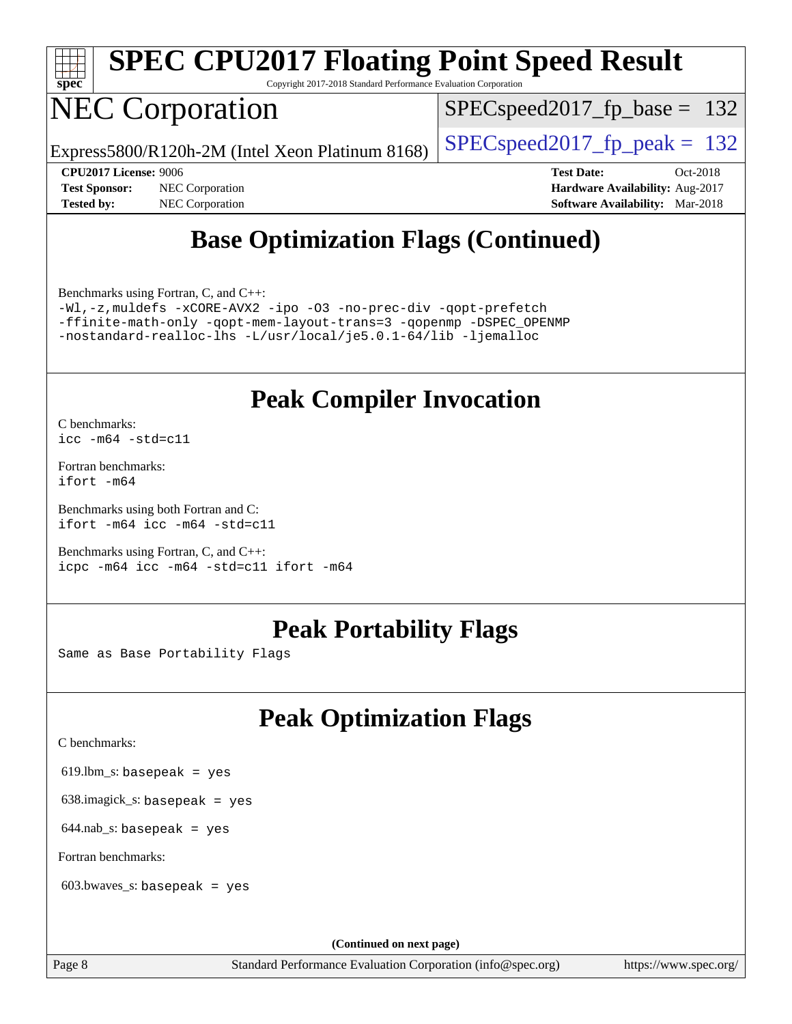

Copyright 2017-2018 Standard Performance Evaluation Corporation

## NEC Corporation

SPECspeed2017 fp base =  $132$ 

Express5800/R120h-2M (Intel Xeon Platinum 8168) [SPECspeed2017\\_fp\\_peak =](http://www.spec.org/auto/cpu2017/Docs/result-fields.html#SPECspeed2017fppeak)  $132$ 

**[Tested by:](http://www.spec.org/auto/cpu2017/Docs/result-fields.html#Testedby)** NEC Corporation **[Software Availability:](http://www.spec.org/auto/cpu2017/Docs/result-fields.html#SoftwareAvailability)** Mar-2018

**[CPU2017 License:](http://www.spec.org/auto/cpu2017/Docs/result-fields.html#CPU2017License)** 9006 **[Test Date:](http://www.spec.org/auto/cpu2017/Docs/result-fields.html#TestDate)** Oct-2018 **[Test Sponsor:](http://www.spec.org/auto/cpu2017/Docs/result-fields.html#TestSponsor)** NEC Corporation **[Hardware Availability:](http://www.spec.org/auto/cpu2017/Docs/result-fields.html#HardwareAvailability)** Aug-2017

### **[Base Optimization Flags \(Continued\)](http://www.spec.org/auto/cpu2017/Docs/result-fields.html#BaseOptimizationFlags)**

[Benchmarks using Fortran, C, and C++:](http://www.spec.org/auto/cpu2017/Docs/result-fields.html#BenchmarksusingFortranCandCXX)

[-Wl,-z,muldefs](http://www.spec.org/cpu2017/results/res2018q4/cpu2017-20181029-09349.flags.html#user_CC_CXX_FCbase_link_force_multiple1_b4cbdb97b34bdee9ceefcfe54f4c8ea74255f0b02a4b23e853cdb0e18eb4525ac79b5a88067c842dd0ee6996c24547a27a4b99331201badda8798ef8a743f577) [-xCORE-AVX2](http://www.spec.org/cpu2017/results/res2018q4/cpu2017-20181029-09349.flags.html#user_CC_CXX_FCbase_f-xCORE-AVX2) [-ipo](http://www.spec.org/cpu2017/results/res2018q4/cpu2017-20181029-09349.flags.html#user_CC_CXX_FCbase_f-ipo) [-O3](http://www.spec.org/cpu2017/results/res2018q4/cpu2017-20181029-09349.flags.html#user_CC_CXX_FCbase_f-O3) [-no-prec-div](http://www.spec.org/cpu2017/results/res2018q4/cpu2017-20181029-09349.flags.html#user_CC_CXX_FCbase_f-no-prec-div) [-qopt-prefetch](http://www.spec.org/cpu2017/results/res2018q4/cpu2017-20181029-09349.flags.html#user_CC_CXX_FCbase_f-qopt-prefetch) [-ffinite-math-only](http://www.spec.org/cpu2017/results/res2018q4/cpu2017-20181029-09349.flags.html#user_CC_CXX_FCbase_f_finite_math_only_cb91587bd2077682c4b38af759c288ed7c732db004271a9512da14a4f8007909a5f1427ecbf1a0fb78ff2a814402c6114ac565ca162485bbcae155b5e4258871) [-qopt-mem-layout-trans=3](http://www.spec.org/cpu2017/results/res2018q4/cpu2017-20181029-09349.flags.html#user_CC_CXX_FCbase_f-qopt-mem-layout-trans_de80db37974c74b1f0e20d883f0b675c88c3b01e9d123adea9b28688d64333345fb62bc4a798493513fdb68f60282f9a726aa07f478b2f7113531aecce732043) [-qopenmp](http://www.spec.org/cpu2017/results/res2018q4/cpu2017-20181029-09349.flags.html#user_CC_CXX_FCbase_qopenmp_16be0c44f24f464004c6784a7acb94aca937f053568ce72f94b139a11c7c168634a55f6653758ddd83bcf7b8463e8028bb0b48b77bcddc6b78d5d95bb1df2967) [-DSPEC\\_OPENMP](http://www.spec.org/cpu2017/results/res2018q4/cpu2017-20181029-09349.flags.html#suite_CC_CXX_FCbase_DSPEC_OPENMP) [-nostandard-realloc-lhs](http://www.spec.org/cpu2017/results/res2018q4/cpu2017-20181029-09349.flags.html#user_CC_CXX_FCbase_f_2003_std_realloc_82b4557e90729c0f113870c07e44d33d6f5a304b4f63d4c15d2d0f1fab99f5daaed73bdb9275d9ae411527f28b936061aa8b9c8f2d63842963b95c9dd6426b8a) [-L/usr/local/je5.0.1-64/lib](http://www.spec.org/cpu2017/results/res2018q4/cpu2017-20181029-09349.flags.html#user_CC_CXX_FCbase_jemalloc_link_path64_4b10a636b7bce113509b17f3bd0d6226c5fb2346b9178c2d0232c14f04ab830f976640479e5c33dc2bcbbdad86ecfb6634cbbd4418746f06f368b512fced5394) [-ljemalloc](http://www.spec.org/cpu2017/results/res2018q4/cpu2017-20181029-09349.flags.html#user_CC_CXX_FCbase_jemalloc_link_lib_d1249b907c500fa1c0672f44f562e3d0f79738ae9e3c4a9c376d49f265a04b9c99b167ecedbf6711b3085be911c67ff61f150a17b3472be731631ba4d0471706)

### **[Peak Compiler Invocation](http://www.spec.org/auto/cpu2017/Docs/result-fields.html#PeakCompilerInvocation)**

[C benchmarks](http://www.spec.org/auto/cpu2017/Docs/result-fields.html#Cbenchmarks): [icc -m64 -std=c11](http://www.spec.org/cpu2017/results/res2018q4/cpu2017-20181029-09349.flags.html#user_CCpeak_intel_icc_64bit_c11_33ee0cdaae7deeeab2a9725423ba97205ce30f63b9926c2519791662299b76a0318f32ddfffdc46587804de3178b4f9328c46fa7c2b0cd779d7a61945c91cd35)

[Fortran benchmarks](http://www.spec.org/auto/cpu2017/Docs/result-fields.html#Fortranbenchmarks): [ifort -m64](http://www.spec.org/cpu2017/results/res2018q4/cpu2017-20181029-09349.flags.html#user_FCpeak_intel_ifort_64bit_24f2bb282fbaeffd6157abe4f878425411749daecae9a33200eee2bee2fe76f3b89351d69a8130dd5949958ce389cf37ff59a95e7a40d588e8d3a57e0c3fd751)

[Benchmarks using both Fortran and C](http://www.spec.org/auto/cpu2017/Docs/result-fields.html#BenchmarksusingbothFortranandC): [ifort -m64](http://www.spec.org/cpu2017/results/res2018q4/cpu2017-20181029-09349.flags.html#user_CC_FCpeak_intel_ifort_64bit_24f2bb282fbaeffd6157abe4f878425411749daecae9a33200eee2bee2fe76f3b89351d69a8130dd5949958ce389cf37ff59a95e7a40d588e8d3a57e0c3fd751) [icc -m64 -std=c11](http://www.spec.org/cpu2017/results/res2018q4/cpu2017-20181029-09349.flags.html#user_CC_FCpeak_intel_icc_64bit_c11_33ee0cdaae7deeeab2a9725423ba97205ce30f63b9926c2519791662299b76a0318f32ddfffdc46587804de3178b4f9328c46fa7c2b0cd779d7a61945c91cd35)

[Benchmarks using Fortran, C, and C++:](http://www.spec.org/auto/cpu2017/Docs/result-fields.html#BenchmarksusingFortranCandCXX) [icpc -m64](http://www.spec.org/cpu2017/results/res2018q4/cpu2017-20181029-09349.flags.html#user_CC_CXX_FCpeak_intel_icpc_64bit_4ecb2543ae3f1412ef961e0650ca070fec7b7afdcd6ed48761b84423119d1bf6bdf5cad15b44d48e7256388bc77273b966e5eb805aefd121eb22e9299b2ec9d9) [icc -m64 -std=c11](http://www.spec.org/cpu2017/results/res2018q4/cpu2017-20181029-09349.flags.html#user_CC_CXX_FCpeak_intel_icc_64bit_c11_33ee0cdaae7deeeab2a9725423ba97205ce30f63b9926c2519791662299b76a0318f32ddfffdc46587804de3178b4f9328c46fa7c2b0cd779d7a61945c91cd35) [ifort -m64](http://www.spec.org/cpu2017/results/res2018q4/cpu2017-20181029-09349.flags.html#user_CC_CXX_FCpeak_intel_ifort_64bit_24f2bb282fbaeffd6157abe4f878425411749daecae9a33200eee2bee2fe76f3b89351d69a8130dd5949958ce389cf37ff59a95e7a40d588e8d3a57e0c3fd751)

### **[Peak Portability Flags](http://www.spec.org/auto/cpu2017/Docs/result-fields.html#PeakPortabilityFlags)**

Same as Base Portability Flags

## **[Peak Optimization Flags](http://www.spec.org/auto/cpu2017/Docs/result-fields.html#PeakOptimizationFlags)**

[C benchmarks](http://www.spec.org/auto/cpu2017/Docs/result-fields.html#Cbenchmarks):

619.lbm\_s: basepeak = yes

638.imagick\_s: basepeak = yes

 $644$ .nab\_s: basepeak = yes

[Fortran benchmarks](http://www.spec.org/auto/cpu2017/Docs/result-fields.html#Fortranbenchmarks):

603.bwaves\_s: basepeak = yes

**(Continued on next page)**

Page 8 Standard Performance Evaluation Corporation [\(info@spec.org\)](mailto:info@spec.org) <https://www.spec.org/>